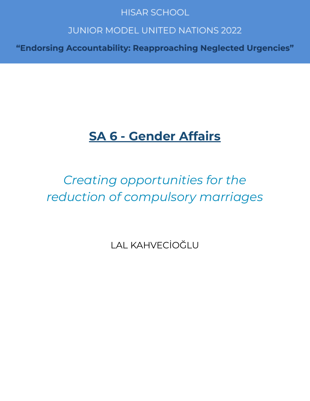### **HISAR SCHOOL**

### **JUNIOR MODEL UNITED NATIONS 2022**

"Endorsing Accountability: Reapproaching Neglected Urgencies"

### **SA 6 - Gender Affairs**

### Creating opportunities for the reduction of compulsory marriages

**LAL KAHVECİOĞLU**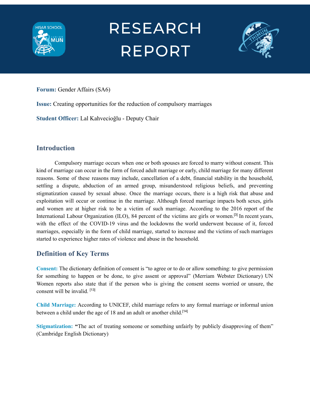



**Forum:** Gender Affairs (SA6)

**Issue:** Creating opportunities for the reduction of compulsory marriages

**Student Officer:** Lal Kahvecioğlu - Deputy Chair

#### **Introduction**

Compulsory marriage occurs when one or both spouses are forced to marry without consent. This kind of marriage can occur in the form of forced adult marriage or early, child marriage for many different reasons. Some of these reasons may include, cancellation of a debt, financial stability in the household, settling a dispute, abduction of an armed group, misunderstood religious beliefs, and preventing stigmatization caused by sexual abuse. Once the marriage occurs, there is a high risk that abuse and exploitation will occur or continue in the marriage. Although forced marriage impacts both sexes, girls and women are at higher risk to be a victim of such marriage. According to the 2016 report of the International Labour Organization (ILO), 84 percent of the victims are girls or women.<sup>[3]</sup> In recent years, with the effect of the COVID-19 virus and the lockdowns the world underwent because of it, forced marriages, especially in the form of child marriage, started to increase and the victims of such marriages started to experience higher rates of violence and abuse in the household.

#### **Definition of Key Terms**

**Consent:** The dictionary definition of consent is "to agree or to do or allow something: to give permission for something to happen or be done, to give assent or approval" (Merriam Webster Dictionary) UN Women reports also state that if the person who is giving the consent seems worried or unsure, the consent will be invalid. [13]

**Child Marriage:** According to UNICEF, child marriage refers to any formal marriage or informal union between a child under the age of 18 and an adult or another child.<sup>[14]</sup>

**Stigmatization: "The act of treating someone or something unfairly by publicly disapproving of them"** (Cambridge English Dictionary)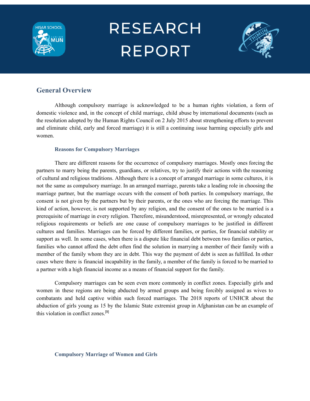



#### **General Overview**

Although compulsory marriage is acknowledged to be a human rights violation, a form of domestic violence and, in the concept of child marriage, child abuse by international documents (such as the resolution adopted by the Human Rights Council on 2 July 2015 about strengthening efforts to prevent and eliminate child, early and forced marriage) it is still a continuing issue harming especially girls and women.

#### **Reasons for Compulsory Marriages**

There are different reasons for the occurrence of compulsory marriages. Mostly ones forcing the partners to marry being the parents, guardians, or relatives, try to justify their actions with the reasoning of cultural and religious traditions. Although there is a concept of arranged marriage in some cultures, it is not the same as compulsory marriage. In an arranged marriage, parents take a leading role in choosing the marriage partner, but the marriage occurs with the consent of both parties. In compulsory marriage, the consent is not given by the partners but by their parents, or the ones who are forcing the marriage. This kind of action, however, is not supported by any religion, and the consent of the ones to be married is a prerequisite of marriage in every religion. Therefore, misunderstood, misrepresented, or wrongly educated religious requirements or beliefs are one cause of compulsory marriages to be justified in different cultures and families. Marriages can be forced by different families, or parties, for financial stability or support as well. In some cases, when there is a dispute like financial debt between two families or parties, families who cannot afford the debt often find the solution in marrying a member of their family with a member of the family whom they are in debt. This way the payment of debt is seen as fulfilled. In other cases where there is financial incapability in the family, a member of the family is forced to be married to a partner with a high financial income as a means of financial support for the family.

Compulsory marriages can be seen even more commonly in conflict zones. Especially girls and women in these regions are being abducted by armed groups and being forcibly assigned as wives to combatants and held captive within such forced marriages. The 2018 reports of UNHCR about the abduction of girls young as 15 by the Islamic State extremist group in Afghanistan can be an example of this violation in conflict zones. [9]

#### **Compulsory Marriage of Women and Girls**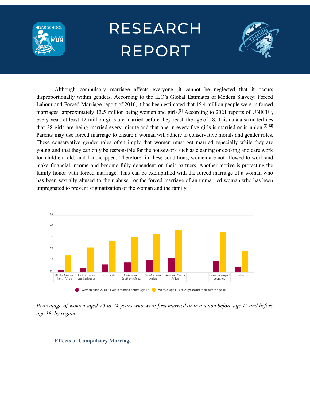



Although compulsory marriage affects everyone, it cannot be neglected that it occurs disproportionally within genders. According to the ILO's Global Estimates of Modern Slavery: Forced Labour and Forced Marriage report of 2016, it has been estimated that 15.4 million people were in forced marriages, approximately 13.5 million being women and girls.<sup>[3]</sup> According to 2021 reports of UNICEF, every year, at least 12 million girls are married before they reach the age of 18. This data also underlines that 28 girls are being married every minute and that one in every five girls is married or in union.<sup>[6][12]</sup> Parents may use forced marriage to ensure a woman will adhere to conservative morals and gender roles. These conservative gender roles often imply that women must get married especially while they are young and that they can only be responsible for the housework such as cleaning or cooking and care work for children, old, and handicapped. Therefore, in these conditions, women are not allowed to work and make financial income and become fully dependent on their partners. Another motive is protecting the family honor with forced marriage. This can be exemplified with the forced marriage of a woman who has been sexually abused to their abuser, or the forced marriage of an unmarried woman who has been impregnated to prevent stigmatization of the woman and the family.



Percentage of women aged 20 to 24 years who were first married or in a union before age 15 and before *age 18, by region*

#### **Effects of Compulsory Marriage**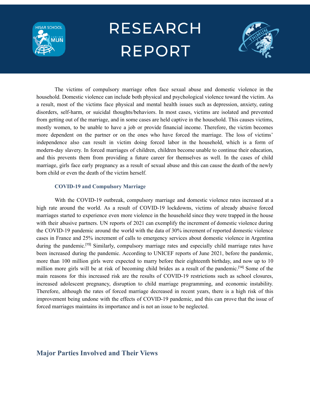



The victims of compulsory marriage often face sexual abuse and domestic violence in the household. Domestic violence can include both physical and psychological violence toward the victim. As a result, most of the victims face physical and mental health issues such as depression, anxiety, eating disorders, self-harm, or suicidal thoughts/behaviors. In most cases, victims are isolated and prevented from getting out of the marriage, and in some cases are held captive in the household. This causes victims, mostly women, to be unable to have a job or provide financial income. Therefore, the victim becomes more dependent on the partner or on the ones who have forced the marriage. The loss of victims' independence also can result in victim doing forced labor in the household, which is a form of modern-day slavery. In forced marriages of children, children become unable to continue their education, and this prevents them from providing a future career for themselves as well. In the cases of child marriage, girls face early pregnancy as a result of sexual abuse and this can cause the death of the newly born child or even the death of the victim herself.

#### **COVID-19 and Compulsory Marriage**

With the COVID-19 outbreak, compulsory marriage and domestic violence rates increased at a high rate around the world. As a result of COVID-19 lockdowns, victims of already abusive forced marriages started to experience even more violence in the household since they were trapped in the house with their abusive partners. UN reports of 2021 can exemplify the increment of domestic violence during the COVID-19 pandemic around the world with the data of 30% increment of reported domestic violence cases in France and 25% increment of calls to emergency services about domestic violence in Argentina during the pandemic.<sup>[15]</sup> Similarly, compulsory marriage rates and especially child marriage rates have been increased during the pandemic. According to UNICEF reports of June 2021, before the pandemic, more than 100 million girls were expected to marry before their eighteenth birthday, and now up to 10 million more girls will be at risk of becoming child brides as a result of the pandemic.<sup>[14]</sup> Some of the main reasons for this increased risk are the results of COVID-19 restrictions such as school closures, increased adolescent pregnancy, disruption to child marriage programming, and economic instability. Therefore, although the rates of forced marriage decreased in recent years, there is a high risk of this improvement being undone with the effects of COVID-19 pandemic, and this can prove that the issue of forced marriages maintains its importance and is not an issue to be neglected.

#### **Major Parties Involved and Their Views**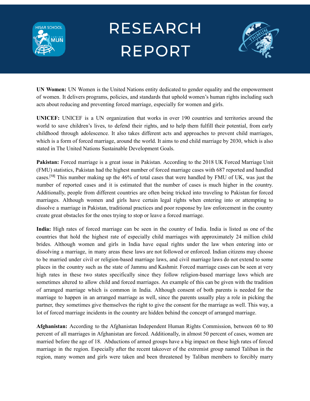



**UN Women:** UN Women is the United Nations entity dedicated to gender equality and the empowerment of women. It delivers programs, policies, and standards that uphold women's human rights including such acts about reducing and preventing forced marriage, especially for women and girls.

**UNICEF:** UNICEF is a UN organization that works in over 190 countries and territories around the world to save children's lives, to defend their rights, and to help them fulfill their potential, from early childhood through adolescence. It also takes different acts and approaches to prevent child marriages, which is a form of forced marriage, around the world. It aims to end child marriage by 2030, which is also stated in The United Nations Sustainable Development Goals.

**Pakistan:** Forced marriage is a great issue in Pakistan. According to the 2018 UK Forced Marriage Unit (FMU) statistics, Pakistan had the highest number of forced marriage cases with 687 reported and handled cases.<sup>[18]</sup> This number making up the 46% of total cases that were handled by FMU of UK, was just the number of reported cases and it is estimated that the number of cases is much higher in the country. Additionally, people from different countries are often being tricked into traveling to Pakistan for forced marriages. Although women and girls have certain legal rights when entering into or attempting to dissolve a marriage in Pakistan, traditional practices and poor response by law enforcement in the country create great obstacles for the ones trying to stop or leave a forced marriage.

**India:** High rates of forced marriage can be seen in the country of India. India is listed as one of the countries that hold the highest rate of especially child marriages with approximately 24 million child brides. Although women and girls in India have equal rights under the law when entering into or dissolving a marriage, in many areas these laws are not followed or enforced. Indian citizens may choose to be married under civil or religion-based marriage laws, and civil marriage laws do not extend to some places in the country such as the state of Jammu and Kashmir. Forced marriage cases can be seen at very high rates in these two states specifically since they follow religion-based marriage laws which are sometimes altered to allow child and forced marriages. An example of this can be given with the tradition of arranged marriage which is common in India. Although consent of both parents is needed for the marriage to happen in an arranged marriage as well, since the parents usually play a role in picking the partner, they sometimes give themselves the right to give the consent for the marriage as well. This way, a lot of forced marriage incidents in the country are hidden behind the concept of arranged marriage.

**Afghanistan:** According to the Afghanistan Independent Human Rights Commission, between 60 to 80 percent of all marriages in Afghanistan are forced. Additionally, in almost 50 percent of cases, women are married before the age of 18. Abductions of armed groups have a big impact on these high rates of forced marriage in the region. Especially after the recent takeover of the extremist group named Taliban in the region, many women and girls were taken and been threatened by Taliban members to forcibly marry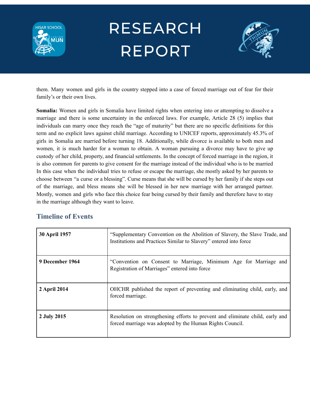



them. Many women and girls in the country stepped into a case of forced marriage out of fear for their family's or their own lives.

**Somalia:** Women and girls in Somalia have limited rights when entering into or attempting to dissolve a marriage and there is some uncertainty in the enforced laws. For example, Article 28 (5) implies that individuals can marry once they reach the "age of maturity" but there are no specific definitions for this term and no explicit laws against child marriage. According to UNICEF reports, approximately 45.3% of girls in Somalia are married before turning 18. Additionally, while divorce is available to both men and women, it is much harder for a woman to obtain. A woman pursuing a divorce may have to give up custody of her child, property, and financial settlements. In the concept of forced marriage in the region, it is also common for parents to give consent for the marriage instead of the individual who is to be married In this case when the individual tries to refuse or escape the marriage, she mostly asked by her parents to choose between "a curse or a blessing". Curse means that she will be cursed by her family if she steps out of the marriage, and bless means she will be blessed in her new marriage with her arranged partner. Mostly, women and girls who face this choice fear being cursed by their family and therefore have to stay in the marriage although they want to leave.

#### **Timeline of Events**

| <b>30 April 1957</b> | "Supplementary Convention on the Abolition of Slavery, the Slave Trade, and<br>Institutions and Practices Similar to Slavery" entered into force |
|----------------------|--------------------------------------------------------------------------------------------------------------------------------------------------|
| 9 December 1964      | "Convention on Consent to Marriage, Minimum Age for Marriage and<br>Registration of Marriages" entered into force                                |
| 2 April 2014         | OHCHR published the report of preventing and eliminating child, early, and<br>forced marriage.                                                   |
| 2 July 2015          | Resolution on strengthening efforts to prevent and eliminate child, early and<br>forced marriage was adopted by the Human Rights Council.        |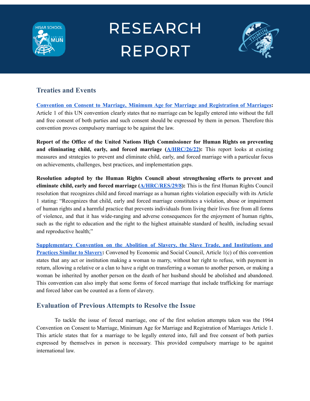



#### **Treaties and Events**

**Convention on Consent to Marriage, Minimum Age for Marriage and [Registration](https://www.ohchr.org/EN/ProfessionalInterest/Pages/MinimumAgeForMarriage.aspx) of Marriages:** Article 1 of this UN convention clearly states that no marriage can be legally entered into without the full and free consent of both parties and such consent should be expressed by them in person. Therefore this convention proves compulsory marriage to be against the law.

**Report of the Office of the United Nations High Commissioner for Human Rights on preventing and eliminating child, early, and forced marriage [\(A/HRC/26/22\)](https://undocs.org/A/HRC/26/22):** This report looks at existing measures and strategies to prevent and eliminate child, early, and forced marriage with a particular focus on achievements, challenges, best practices, and implementation gaps.

**Resolution adopted by the Human Rights Council about strengthening efforts to prevent and eliminate child, early and forced marriage ([A/HRC/RES/29/8](https://documents-dds-ny.un.org/doc/UNDOC/GEN/G15/163/06/PDF/G1516306.pdf?OpenElement)):** This is the first Human Rights Council resolution that recognizes child and forced marriage as a human rights violation especially with its Article 1 stating: "Recognizes that child, early and forced marriage constitutes a violation, abuse or impairment of human rights and a harmful practice that prevents individuals from living their lives free from all forms of violence, and that it has wide-ranging and adverse consequences for the enjoyment of human rights, such as the right to education and the right to the highest attainable standard of health, including sexual and reproductive health;"

**[Supplementary](https://www.ohchr.org/EN/ProfessionalInterest/Pages/SupplementaryConventionAbolitionOfSlavery.aspx) Convention on the Abolition of Slavery, the Slave Trade, and Institutions and [Practices](https://www.ohchr.org/EN/ProfessionalInterest/Pages/SupplementaryConventionAbolitionOfSlavery.aspx) Similar to Slavery:** Convened by Economic and Social Council, Article 1(c) of this convention states that any act or institution making a woman to marry, without her right to refuse, with payment in return, allowing a relative or a clan to have a right on transferring a woman to another person, or making a woman be inherited by another person on the death of her husband should be abolished and abandoned. This convention can also imply that some forms of forced marriage that include trafficking for marriage and forced labor can be counted as a form of slavery.

#### **Evaluation of Previous Attempts to Resolve the Issue**

To tackle the issue of forced marriage, one of the first solution attempts taken was the 1964 Convention on Consent to Marriage, Minimum Age for Marriage and Registration of Marriages Article 1. This article states that for a marriage to be legally entered into, full and free consent of both parties expressed by themselves in person is necessary. This provided compulsory marriage to be against international law.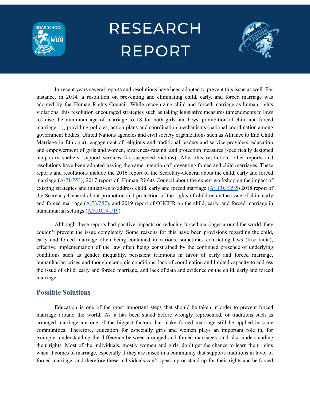



In recent years several reports and resolutions have been adopted to prevent this issue as well. For instance, in 2014, a resolution on preventing and eliminating child, early, and forced marriage was adopted by the Human Rights Council. While recognizing child and forced marriage as human rights violations, this resolution encouraged strategies such as taking legislative measures (amendments to laws to raise the minimum age of marriage to 18 for both girls and boys, prohibition of child and forced marriage…), providing policies, action plans and coordination mechanisms (national coordination among government bodies, United Nations agencies and civil society organizations such as Alliance to End Child Marriage in Ethiopia), engagement of religious and traditional leaders and service providers, education and empowerment of girls and women, awareness-raising, and protection measures (specifically designed temporary shelters, support services for suspected victims). After this resolution, other reports and resolutions have been adopted having the same intention of preventing forced and child marriages. These reports and resolutions include the 2016 report of the Secretary-General about the child, early and forced marriage ( $\frac{A}{71/253}$ ), 2017 report of Human Rights Council about the expert workshop on the impact of existing strategies and initiatives to address child, early and forced marriage [\(A/HRC/35/5](https://documents-dds-ny.un.org/doc/UNDOC/GEN/G17/075/27/PDF/G1707527.pdf?OpenElement)) 2018 report of the Secretary-General about promotion and protection of the rights of children on the issue of child early and forced marriage  $(A/73/257)$  $(A/73/257)$  $(A/73/257)$ , and 2019 report of OHCHR on the child, early, and forced marriage in humanitarian settings ([A/HRC/41/19](https://documents-dds-ny.un.org/doc/UNDOC/GEN/G19/117/83/PDF/G1911783.pdf?OpenElement)).

Although these reports had positive impacts on reducing forced marriages around the world, they couldn't prevent the issue completely. Some reasons for this have been provisions regarding the child, early and forced marriage often being contained in various, sometimes conflicting laws (like India), effective implementation of the law often being constrained by the continued presence of underlying conditions such as gender inequality, persistent traditions in favor of early and forced marriage, humanitarian crises and though economic conditions, lack of coordination and limited capacity to address the issue of child, early and forced marriage, and lack of data and evidence on the child, early and forced marriage.

#### **Possible Solutions**

Education is one of the most important steps that should be taken in order to prevent forced marriage around the world. As it has been stated before wrongly represented, or traditions such as arranged marriage are one of the biggest factors that make forced marriage still be applied in some communities. Therefore, education for especially girls and women plays an important role in, for example, understanding the difference between arranged and forced marriages, and also understanding their rights. Most of the individuals, mostly women and girls, don't get the chance to learn their rights when it comes to marriage, especially if they are raised in a community that supports traditions in favor of forced marriage, and therefore these individuals can't speak up or stand up for their rights and be forced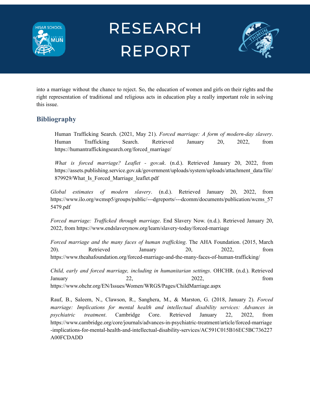



into a marriage without the chance to reject. So, the education of women and girls on their rights and the right representation of traditional and religious acts in education play a really important role in solving this issue.

#### **Bibliography**

Human Trafficking Search. (2021, May 21). *Forced marriage: A form of modern-day slavery*. Human Trafficking Search. Retrieved January 20, 2022, from https://humantraffickingsearch.org/forced\_marriage/

*What is forced marriage? Leaflet - gov.uk*. (n.d.). Retrieved January 20, 2022, from https://assets.publishing.service.gov.uk/government/uploads/system/uploads/attachment\_data/file/ 879929/What Is Forced Marriage leaflet.pdf

*Global estimates of modern slavery*. (n.d.). Retrieved January 20, 2022, from https://www.ilo.org/wcmsp5/groups/public/---dgreports/---dcomm/documents/publication/wcms\_57 5479.pdf

*Forced marriage: Trafficked through marriage.* End Slavery Now. (n.d.). Retrieved January 20, 2022, from https://www.endslaverynow.org/learn/slavery-today/forced-marriage

*Forced marriage and the many faces of human traf icking*. The AHA Foundation. (2015, March 20). Retrieved January 20, 2022, from https://www.theahafoundation.org/forced-marriage-and-the-many-faces-of-human-trafficking/

*Child, early and forced marriage, including in humanitarian settings*. OHCHR. (n.d.). Retrieved January 22, 2022, from https://www.ohchr.org/EN/Issues/Women/WRGS/Pages/ChildMarriage.aspx

Rauf, B., Saleem, N., Clawson, R., Sanghera, M., & Marston, G. (2018, January 2). *Forced marriage: Implications for mental health and intellectual disability services: Advances in psychiatric treatment*. Cambridge Core. Retrieved January 22, 2022, from https://www.cambridge.org/core/journals/advances-in-psychiatric-treatment/article/forced-marriage -implications-for-mental-health-and-intellectual-disability-services/AC591C015B16EC5BC736227 A00FCDADD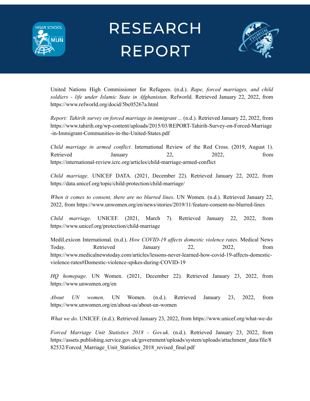



United Nations High Commissioner for Refugees. (n.d.). *Rape, forced marriages, and child soldiers - life under Islamic State in Afghanistan*. Refworld. Retrieved January 22, 2022, from https://www.refworld.org/docid/5bc05267a.html

*Report: Tahirih survey on forced marriage in immigrant ...* (n.d.). Retrieved January 22, 2022, from https://www.tahirih.org/wp-content/uploads/2015/03/REPORT-Tahirih-Survey-on-Forced-Marriage -in-Immigrant-Communities-in-the-United-States.pdf

*Child marriage in armed conflict*. International Review of the Red Cross. (2019, August 1). Retrieved January 22, 2022, from https://international-review.icrc.org/articles/child-marriage-armed-conflict

*Child marriage*. UNICEF DATA. (2021, December 22). Retrieved January 22, 2022, from https://data.unicef.org/topic/child-protection/child-marriage/

*When it comes to consent, there are no blurred lines*. UN Women. (n.d.). Retrieved January 22, 2022, from https://www.unwomen.org/en/news/stories/2019/11/feature-consent-no-blurred-lines

*Child marriage*. UNICEF. (2021, March 7). Retrieved January 22, 2022, from https://www.unicef.org/protection/child-marriage

MediLexicon International. (n.d.). *How COVID-19 affects domestic violence rates*. Medical News Today. Retrieved January 22, 2022, from https://www.medicalnewstoday.com/articles/lessons-never-learned-how-covid-19-affects-domesticviolence-rates#Domestic-violence-spikes-during-COVID-19

*HQ homepage*. UN Women. (2021, December 22). Retrieved January 23, 2022, from https://www.unwomen.org/en

*About UN women*. UN Women. (n.d.). Retrieved January 23, 2022, from https://www.unwomen.org/en/about-us/about-un-women

*What we do*. UNICEF. (n.d.). Retrieved January 23, 2022, from https://www.unicef.org/what-we-do

*Forced Marriage Unit Statistics 2018 - Gov.uk*. (n.d.). Retrieved January 23, 2022, from https://assets.publishing.service.gov.uk/government/uploads/system/uploads/attachment\_data/file/8 82532/Forced Marriage Unit Statistics 2018 revised final.pdf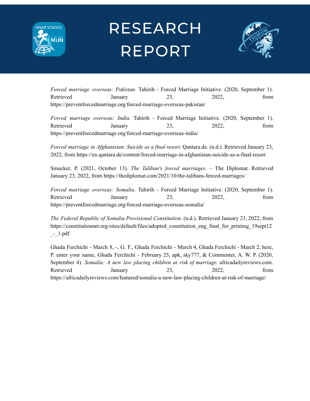



*Forced marriage overseas: Pakistan*. Tahirih - Forced Marriage Initiative. (2020, September 1). Retrieved January 23, 2022, from https://preventforcedmarriage.org/forced-marriage-overseas-pakistan/

*Forced marriage overseas: India*. Tahirih - Forced Marriage Initiative. (2020, September 1). Retrieved January 23, 2022, from https://preventforcedmarriage.org/forced-marriage-overseas-india/

*Forced marriage in Afghanistan: Suicide as a final resort*. Qantara.de. (n.d.). Retrieved January 23, 2022, from https://en.qantara.de/content/forced-marriage-in-afghanistan-suicide-as-a-final-resort

Smucker, P. (2021, October 13). *The Taliban's forced marriages*. – The Diplomat. Retrieved January 23, 2022, from https://thediplomat.com/2021/10/the-talibans-forced-marriages/

*Forced marriage overseas: Somalia*. Tahirih - Forced Marriage Initiative. (2020, September 1). Retrieved January 23, 2022, from https://preventforcedmarriage.org/forced-marriage-overseas-somalia/

*The Federal Republic of Somalia Provisional Constitution*. (n.d.). Retrieved January 23, 2022, from https://constitutionnet.org/sites/default/files/adopted constitution eng final for printing 19sept12  $-1.$ pdf

Ghada Ferchichi - March 8, -, G. F., Ghada Ferchichi - March 4, Ghada Ferchichi - March 2, here, P. enter your name, Ghada Ferchichi - February 25, apk, sky777, & Commenter, A. W. P. (2020, September 4). *Somalia: A new law placing children at risk of marriage*. africadailyreviews.com. Retrieved January 23, 2022, from https://africadailyreviews.com/featured/somalia-a-new-law-placing-children-at-risk-of-marriage/